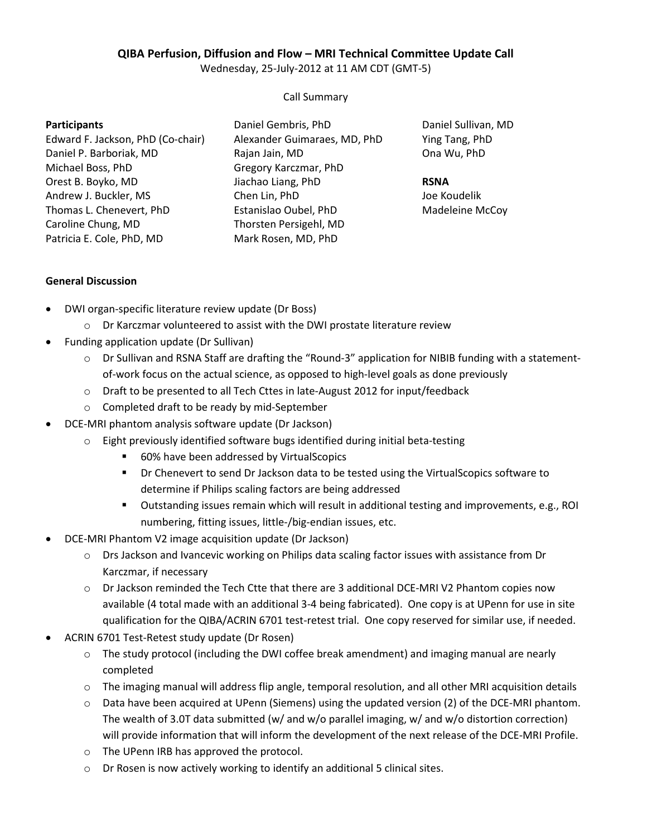# **QIBA Perfusion, Diffusion and Flow – MRI Technical Committee Update Call**

Wednesday, 25-July-2012 at 11 AM CDT (GMT-5)

### Call Summary

#### **Participants**

Edward F. Jackson, PhD (Co-chair) Daniel P. Barboriak, MD Michael Boss, PhD Orest B. Boyko, MD Andrew J. Buckler, MS Thomas L. Chenevert, PhD Caroline Chung, MD Patricia E. Cole, PhD, MD

Daniel Gembris, PhD Alexander Guimaraes, MD, PhD Rajan Jain, MD Gregory Karczmar, PhD Jiachao Liang, PhD Chen Lin, PhD Estanislao Oubel, PhD Thorsten Persigehl, MD Mark Rosen, MD, PhD

Daniel Sullivan, MD Ying Tang, PhD Ona Wu, PhD

### **RSNA**

Joe Koudelik Madeleine McCoy

## **General Discussion**

- DWI organ-specific literature review update (Dr Boss)
	- o Dr Karczmar volunteered to assist with the DWI prostate literature review
- Funding application update (Dr Sullivan)
	- o Dr Sullivan and RSNA Staff are drafting the "Round-3" application for NIBIB funding with a statementof-work focus on the actual science, as opposed to high-level goals as done previously
	- o Draft to be presented to all Tech Cttes in late-August 2012 for input/feedback
	- o Completed draft to be ready by mid-September
- DCE-MRI phantom analysis software update (Dr Jackson)
	- o Eight previously identified software bugs identified during initial beta-testing
		- 60% have been addressed by VirtualScopics
		- **•** Dr Chenevert to send Dr Jackson data to be tested using the VirtualScopics software to determine if Philips scaling factors are being addressed
		- Outstanding issues remain which will result in additional testing and improvements, e.g., ROI numbering, fitting issues, little-/big-endian issues, etc.
- DCE-MRI Phantom V2 image acquisition update (Dr Jackson)
	- o Drs Jackson and Ivancevic working on Philips data scaling factor issues with assistance from Dr Karczmar, if necessary
	- $\circ$  Dr Jackson reminded the Tech Ctte that there are 3 additional DCE-MRI V2 Phantom copies now available (4 total made with an additional 3-4 being fabricated). One copy is at UPenn for use in site qualification for the QIBA/ACRIN 6701 test-retest trial. One copy reserved for similar use, if needed.
- ACRIN 6701 Test-Retest study update (Dr Rosen)
	- $\circ$  The study protocol (including the DWI coffee break amendment) and imaging manual are nearly completed
	- $\circ$  The imaging manual will address flip angle, temporal resolution, and all other MRI acquisition details
	- o Data have been acquired at UPenn (Siemens) using the updated version (2) of the DCE-MRI phantom. The wealth of 3.0T data submitted (w/ and w/o parallel imaging, w/ and w/o distortion correction) will provide information that will inform the development of the next release of the DCE-MRI Profile.
	- o The UPenn IRB has approved the protocol.
	- o Dr Rosen is now actively working to identify an additional 5 clinical sites.